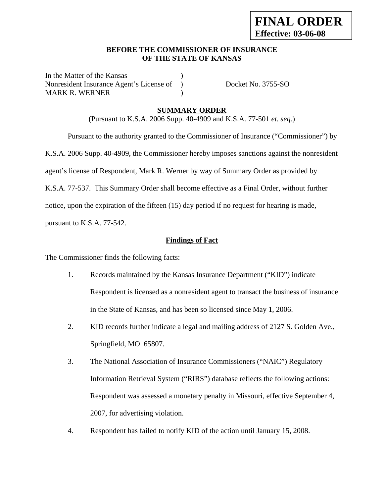### **BEFORE THE COMMISSIONER OF INSURANCE OF THE STATE OF KANSAS**

In the Matter of the Kansas Nonresident Insurance Agent's License of ) Docket No. 3755-SO MARK R. WERNER (1998)

## **SUMMARY ORDER**

(Pursuant to K.S.A. 2006 Supp. 40-4909 and K.S.A. 77-501 *et. seq.*)

 Pursuant to the authority granted to the Commissioner of Insurance ("Commissioner") by K.S.A. 2006 Supp. 40-4909, the Commissioner hereby imposes sanctions against the nonresident agent's license of Respondent, Mark R. Werner by way of Summary Order as provided by K.S.A. 77-537. This Summary Order shall become effective as a Final Order, without further notice, upon the expiration of the fifteen (15) day period if no request for hearing is made,

pursuant to K.S.A. 77-542.

## **Findings of Fact**

The Commissioner finds the following facts:

- 1. Records maintained by the Kansas Insurance Department ("KID") indicate Respondent is licensed as a nonresident agent to transact the business of insurance in the State of Kansas, and has been so licensed since May 1, 2006.
- 2. KID records further indicate a legal and mailing address of 2127 S. Golden Ave., Springfield, MO 65807.
- 3. The National Association of Insurance Commissioners ("NAIC") Regulatory Information Retrieval System ("RIRS") database reflects the following actions: Respondent was assessed a monetary penalty in Missouri, effective September 4, 2007, for advertising violation.
- 4. Respondent has failed to notify KID of the action until January 15, 2008.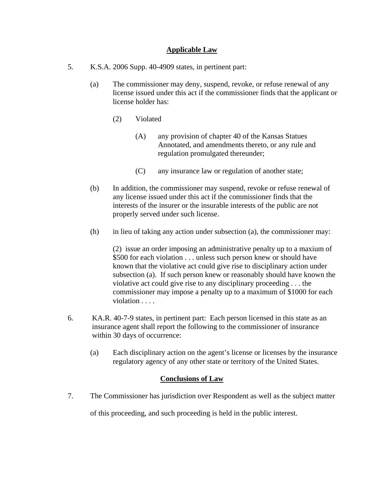### **Applicable Law**

- 5. K.S.A. 2006 Supp. 40-4909 states, in pertinent part:
	- (a) The commissioner may deny, suspend, revoke, or refuse renewal of any license issued under this act if the commissioner finds that the applicant or license holder has:
		- (2) Violated
			- (A) any provision of chapter 40 of the Kansas Statues Annotated, and amendments thereto, or any rule and regulation promulgated thereunder;
			- (C) any insurance law or regulation of another state;
	- (b) In addition, the commissioner may suspend, revoke or refuse renewal of any license issued under this act if the commissioner finds that the interests of the insurer or the insurable interests of the public are not properly served under such license.
	- (h) in lieu of taking any action under subsection (a), the commissioner may:

(2) issue an order imposing an administrative penalty up to a maxium of \$500 for each violation . . . unless such person knew or should have known that the violative act could give rise to disciplinary action under subsection (a). If such person knew or reasonably should have known the violative act could give rise to any disciplinary proceeding . . . the commissioner may impose a penalty up to a maximum of \$1000 for each violation . . . .

- 6. KA.R. 40-7-9 states, in pertinent part: Each person licensed in this state as an insurance agent shall report the following to the commissioner of insurance within 30 days of occurrence:
	- (a) Each disciplinary action on the agent's license or licenses by the insurance regulatory agency of any other state or territory of the United States.

## **Conclusions of Law**

7. The Commissioner has jurisdiction over Respondent as well as the subject matter

of this proceeding, and such proceeding is held in the public interest.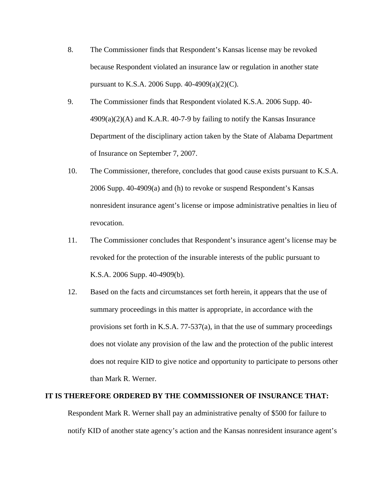- 8. The Commissioner finds that Respondent's Kansas license may be revoked because Respondent violated an insurance law or regulation in another state pursuant to K.S.A. 2006 Supp. 40-4909(a)(2)(C).
- 9. The Commissioner finds that Respondent violated K.S.A. 2006 Supp. 40-  $4909(a)(2)(A)$  and K.A.R. 40-7-9 by failing to notify the Kansas Insurance Department of the disciplinary action taken by the State of Alabama Department of Insurance on September 7, 2007.
- 10. The Commissioner, therefore, concludes that good cause exists pursuant to K.S.A. 2006 Supp. 40-4909(a) and (h) to revoke or suspend Respondent's Kansas nonresident insurance agent's license or impose administrative penalties in lieu of revocation.
- 11. The Commissioner concludes that Respondent's insurance agent's license may be revoked for the protection of the insurable interests of the public pursuant to K.S.A. 2006 Supp. 40-4909(b).
- 12. Based on the facts and circumstances set forth herein, it appears that the use of summary proceedings in this matter is appropriate, in accordance with the provisions set forth in K.S.A. 77-537(a), in that the use of summary proceedings does not violate any provision of the law and the protection of the public interest does not require KID to give notice and opportunity to participate to persons other than Mark R. Werner.

#### **IT IS THEREFORE ORDERED BY THE COMMISSIONER OF INSURANCE THAT:**

Respondent Mark R. Werner shall pay an administrative penalty of \$500 for failure to notify KID of another state agency's action and the Kansas nonresident insurance agent's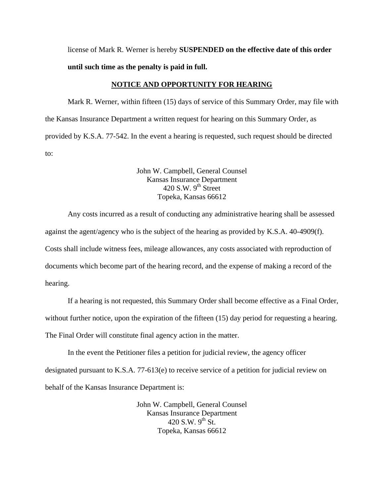license of Mark R. Werner is hereby **SUSPENDED on the effective date of this order until such time as the penalty is paid in full.** 

#### **NOTICE AND OPPORTUNITY FOR HEARING**

Mark R. Werner, within fifteen (15) days of service of this Summary Order, may file with the Kansas Insurance Department a written request for hearing on this Summary Order, as provided by K.S.A. 77-542. In the event a hearing is requested, such request should be directed to:

> John W. Campbell, General Counsel Kansas Insurance Department  $420$  S.W. 9<sup>th</sup> Street Topeka, Kansas 66612

Any costs incurred as a result of conducting any administrative hearing shall be assessed against the agent/agency who is the subject of the hearing as provided by K.S.A. 40-4909(f). Costs shall include witness fees, mileage allowances, any costs associated with reproduction of documents which become part of the hearing record, and the expense of making a record of the hearing.

If a hearing is not requested, this Summary Order shall become effective as a Final Order, without further notice, upon the expiration of the fifteen (15) day period for requesting a hearing. The Final Order will constitute final agency action in the matter.

In the event the Petitioner files a petition for judicial review, the agency officer designated pursuant to K.S.A. 77-613(e) to receive service of a petition for judicial review on behalf of the Kansas Insurance Department is:

> John W. Campbell, General Counsel Kansas Insurance Department 420 S.W.  $9^{th}$  St. Topeka, Kansas 66612